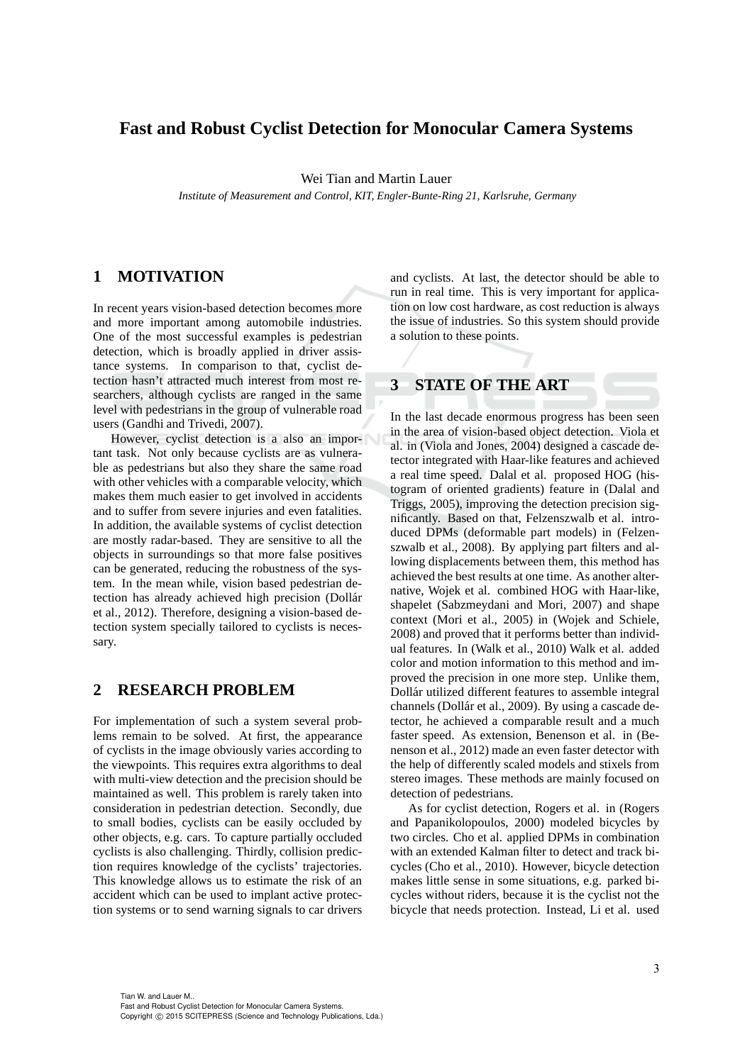# **Fast and Robust Cyclist Detection for Monocular Camera Systems**

Wei Tian and Martin Lauer

*Institute of Measurement and Control, KIT, Engler-Bunte-Ring 21, Karlsruhe, Germany*

# **1 MOTIVATION**

In recent years vision-based detection becomes more and more important among automobile industries. One of the most successful examples is pedestrian detection, which is broadly applied in driver assistance systems. In comparison to that, cyclist detection hasn't attracted much interest from most researchers, although cyclists are ranged in the same level with pedestrians in the group of vulnerable road users (Gandhi and Trivedi, 2007).

However, cyclist detection is a also an important task. Not only because cyclists are as vulnerable as pedestrians but also they share the same road with other vehicles with a comparable velocity, which makes them much easier to get involved in accidents and to suffer from severe injuries and even fatalities. In addition, the available systems of cyclist detection are mostly radar-based. They are sensitive to all the objects in surroundings so that more false positives can be generated, reducing the robustness of the system. In the mean while, vision based pedestrian detection has already achieved high precision (Dollár et al., 2012). Therefore, designing a vision-based detection system specially tailored to cyclists is necessary.

### **2 RESEARCH PROBLEM**

For implementation of such a system several problems remain to be solved. At first, the appearance of cyclists in the image obviously varies according to the viewpoints. This requires extra algorithms to deal with multi-view detection and the precision should be maintained as well. This problem is rarely taken into consideration in pedestrian detection. Secondly, due to small bodies, cyclists can be easily occluded by other objects, e.g. cars. To capture partially occluded cyclists is also challenging. Thirdly, collision prediction requires knowledge of the cyclists' trajectories. This knowledge allows us to estimate the risk of an accident which can be used to implant active protection systems or to send warning signals to car drivers and cyclists. At last, the detector should be able to run in real time. This is very important for application on low cost hardware, as cost reduction is always the issue of industries. So this system should provide a solution to these points.

# **3 STATE OF THE ART**

In the last decade enormous progress has been seen in the area of vision-based object detection. Viola et al. in (Viola and Jones, 2004) designed a cascade detector integrated with Haar-like features and achieved a real time speed. Dalal et al. proposed HOG (histogram of oriented gradients) feature in (Dalal and Triggs, 2005), improving the detection precision significantly. Based on that, Felzenszwalb et al. introduced DPMs (deformable part models) in (Felzenszwalb et al., 2008). By applying part filters and allowing displacements between them, this method has achieved the best results at one time. As another alternative, Wojek et al. combined HOG with Haar-like, shapelet (Sabzmeydani and Mori, 2007) and shape context (Mori et al., 2005) in (Wojek and Schiele, 2008) and proved that it performs better than individual features. In (Walk et al., 2010) Walk et al. added color and motion information to this method and improved the precision in one more step. Unlike them, Dollár utilized different features to assemble integral channels (Dollár et al., 2009). By using a cascade detector, he achieved a comparable result and a much faster speed. As extension, Benenson et al. in (Benenson et al., 2012) made an even faster detector with the help of differently scaled models and stixels from stereo images. These methods are mainly focused on detection of pedestrians.

As for cyclist detection, Rogers et al. in (Rogers and Papanikolopoulos, 2000) modeled bicycles by two circles. Cho et al. applied DPMs in combination with an extended Kalman filter to detect and track bicycles (Cho et al., 2010). However, bicycle detection makes little sense in some situations, e.g. parked bicycles without riders, because it is the cyclist not the bicycle that needs protection. Instead, Li et al. used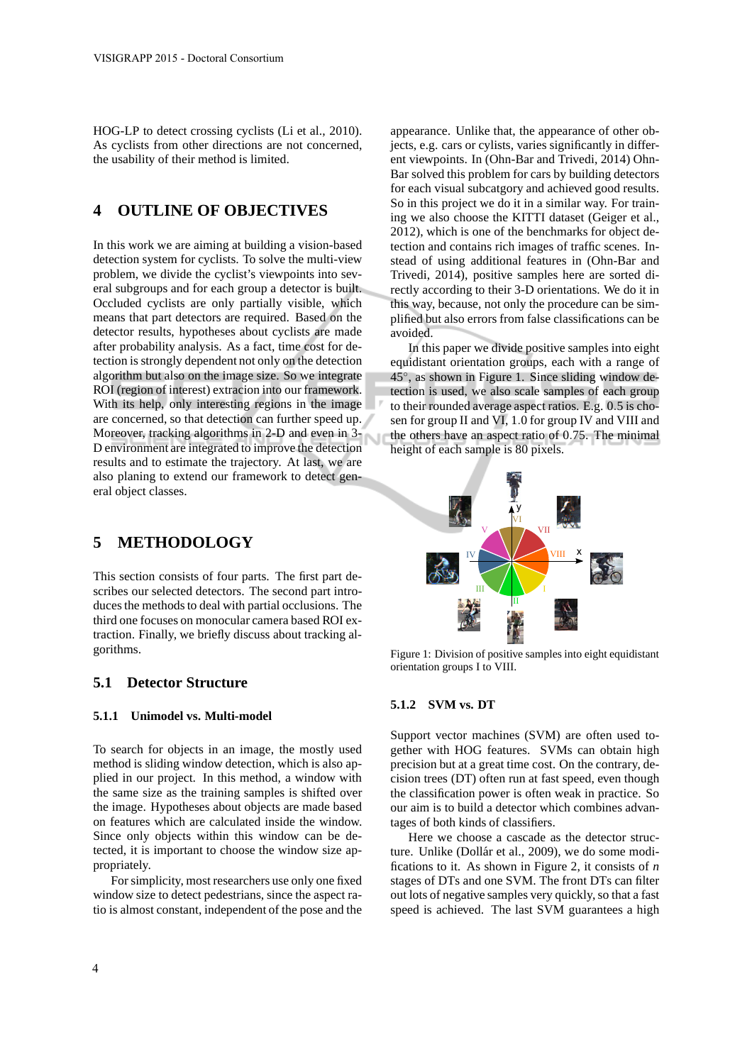HOG-LP to detect crossing cyclists (Li et al., 2010). As cyclists from other directions are not concerned, the usability of their method is limited.

### **4 OUTLINE OF OBJECTIVES**

In this work we are aiming at building a vision-based detection system for cyclists. To solve the multi-view problem, we divide the cyclist's viewpoints into several subgroups and for each group a detector is built. Occluded cyclists are only partially visible, which means that part detectors are required. Based on the detector results, hypotheses about cyclists are made after probability analysis. As a fact, time cost for detection is strongly dependent not only on the detection algorithm but also on the image size. So we integrate ROI (region of interest) extracion into our framework. With its help, only interesting regions in the image are concerned, so that detection can further speed up. Moreover, tracking algorithms in 2-D and even in 3- D environment are integrated to improve the detection results and to estimate the trajectory. At last, we are also planing to extend our framework to detect general object classes.

### **5 METHODOLOGY**

This section consists of four parts. The first part describes our selected detectors. The second part introduces the methods to deal with partial occlusions. The third one focuses on monocular camera based ROI extraction. Finally, we briefly discuss about tracking algorithms.

#### **5.1 Detector Structure**

#### **5.1.1 Unimodel vs. Multi-model**

To search for objects in an image, the mostly used method is sliding window detection, which is also applied in our project. In this method, a window with the same size as the training samples is shifted over the image. Hypotheses about objects are made based on features which are calculated inside the window. Since only objects within this window can be detected, it is important to choose the window size appropriately.

For simplicity, most researchers use only one fixed window size to detect pedestrians, since the aspect ratio is almost constant, independent of the pose and the

appearance. Unlike that, the appearance of other objects, e.g. cars or cylists, varies significantly in different viewpoints. In (Ohn-Bar and Trivedi, 2014) Ohn-Bar solved this problem for cars by building detectors for each visual subcatgory and achieved good results. So in this project we do it in a similar way. For training we also choose the KITTI dataset (Geiger et al., 2012), which is one of the benchmarks for object detection and contains rich images of traffic scenes. Instead of using additional features in (Ohn-Bar and Trivedi, 2014), positive samples here are sorted directly according to their 3-D orientations. We do it in this way, because, not only the procedure can be simplified but also errors from false classifications can be avoided.

In this paper we divide positive samples into eight equidistant orientation groups, each with a range of 45◦ , as shown in Figure 1. Since sliding window detection is used, we also scale samples of each group to their rounded average aspect ratios. E.g. 0.5 is chosen for group II and VI, 1.0 for group IV and VIII and the others have an aspect ratio of 0.75. The minimal height of each sample is 80 pixels.



Figure 1: Division of positive samples into eight equidistant orientation groups I to VIII.

### **5.1.2 SVM vs. DT**

Support vector machines (SVM) are often used together with HOG features. SVMs can obtain high precision but at a great time cost. On the contrary, decision trees (DT) often run at fast speed, even though the classification power is often weak in practice. So our aim is to build a detector which combines advantages of both kinds of classifiers.

Here we choose a cascade as the detector structure. Unlike (Dollár et al., 2009), we do some modifications to it. As shown in Figure 2, it consists of *n* stages of DTs and one SVM. The front DTs can filter out lots of negative samples very quickly, so that a fast speed is achieved. The last SVM guarantees a high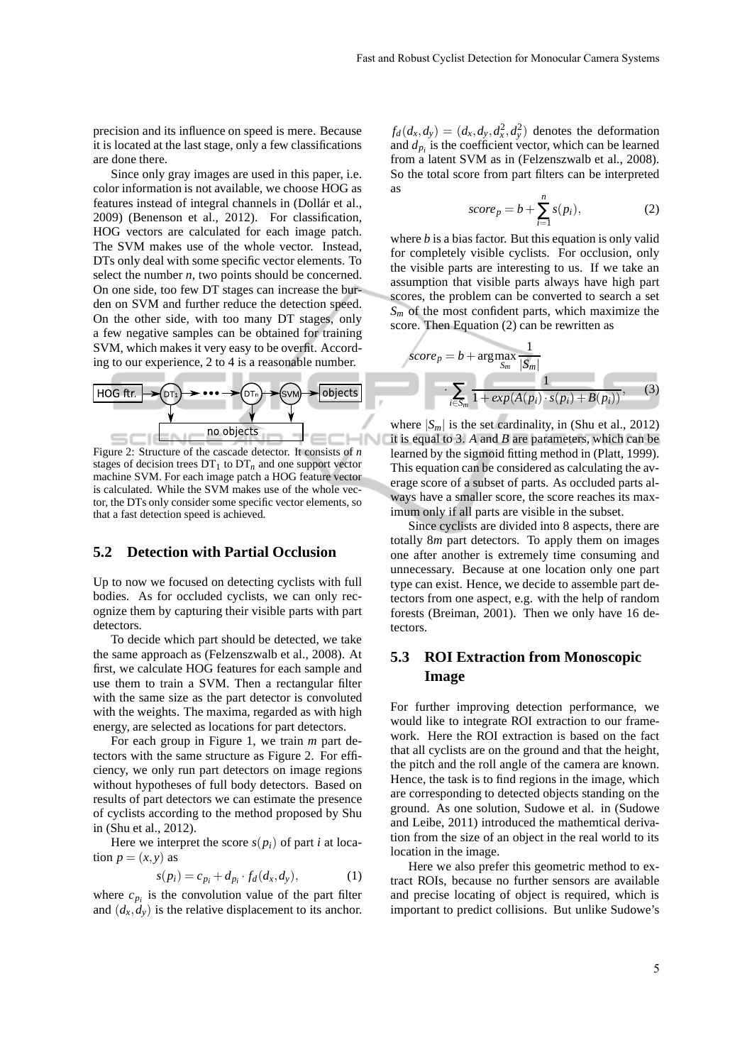precision and its influence on speed is mere. Because it is located at the last stage, only a few classifications are done there.

Since only gray images are used in this paper, i.e. color information is not available, we choose HOG as features instead of integral channels in (Dollár et al., 2009) (Benenson et al., 2012). For classification, HOG vectors are calculated for each image patch. The SVM makes use of the whole vector. Instead, DTs only deal with some specific vector elements. To select the number *n*, two points should be concerned. On one side, too few DT stages can increase the burden on SVM and further reduce the detection speed. On the other side, with too many DT stages, only a few negative samples can be obtained for training SVM, which makes it very easy to be overfit. According to our experience, 2 to 4 is a reasonable number.



Figure 2: Structure of the cascade detector. It consists of *n* stages of decision trees  $DT_1$  to  $DT_n$  and one support vector machine SVM. For each image patch a HOG feature vector is calculated. While the SVM makes use of the whole vector, the DTs only consider some specific vector elements, so that a fast detection speed is achieved.

#### **5.2 Detection with Partial Occlusion**

Up to now we focused on detecting cyclists with full bodies. As for occluded cyclists, we can only recognize them by capturing their visible parts with part detectors.

To decide which part should be detected, we take the same approach as (Felzenszwalb et al., 2008). At first, we calculate HOG features for each sample and use them to train a SVM. Then a rectangular filter with the same size as the part detector is convoluted with the weights. The maxima, regarded as with high energy, are selected as locations for part detectors.

For each group in Figure 1, we train *m* part detectors with the same structure as Figure 2. For efficiency, we only run part detectors on image regions without hypotheses of full body detectors. Based on results of part detectors we can estimate the presence of cyclists according to the method proposed by Shu in (Shu et al., 2012).

Here we interpret the score  $s(p_i)$  of part *i* at location  $p = (x, y)$  as

$$
s(p_i) = c_{p_i} + d_{p_i} \cdot f_d(d_x, d_y), \qquad (1)
$$

where  $c_{p_i}$  is the convolution value of the part filter and  $(d_x, d_y)$  is the relative displacement to its anchor.

 $f_d(d_x, d_y) = (d_x, d_y, d_x^2, d_y^2)$  denotes the deformation and  $d_{p_i}$  is the coefficient vector, which can be learned from a latent SVM as in (Felzenszwalb et al., 2008). So the total score from part filters can be interpreted as

$$
score_p = b + \sum_{i=1}^{n} s(p_i),
$$
 (2)

where *b* is a bias factor. But this equation is only valid for completely visible cyclists. For occlusion, only the visible parts are interesting to us. If we take an assumption that visible parts always have high part scores, the problem can be converted to search a set  $S_m$  of the most confident parts, which maximize the score. Then Equation (2) can be rewritten as

$$
score_p = b + \arg \max_{S_m} \frac{1}{|S_m|}
$$

$$
\cdot \sum_{i \in S_m} \frac{1}{1 + exp(A(p_i) \cdot s(p_i) + B(p_i))},
$$
(3)

where  $|S_m|$  is the set cardinality, in (Shu et al., 2012) it is equal to 3. *A* and *B* are parameters, which can be learned by the sigmoid fitting method in (Platt, 1999). This equation can be considered as calculating the average score of a subset of parts. As occluded parts always have a smaller score, the score reaches its maximum only if all parts are visible in the subset.

Since cyclists are divided into 8 aspects, there are totally 8*m* part detectors. To apply them on images one after another is extremely time consuming and unnecessary. Because at one location only one part type can exist. Hence, we decide to assemble part detectors from one aspect, e.g. with the help of random forests (Breiman, 2001). Then we only have 16 detectors.

### **5.3 ROI Extraction from Monoscopic Image**

For further improving detection performance, we would like to integrate ROI extraction to our framework. Here the ROI extraction is based on the fact that all cyclists are on the ground and that the height, the pitch and the roll angle of the camera are known. Hence, the task is to find regions in the image, which are corresponding to detected objects standing on the ground. As one solution, Sudowe et al. in (Sudowe and Leibe, 2011) introduced the mathemtical derivation from the size of an object in the real world to its location in the image.

Here we also prefer this geometric method to extract ROIs, because no further sensors are available and precise locating of object is required, which is important to predict collisions. But unlike Sudowe's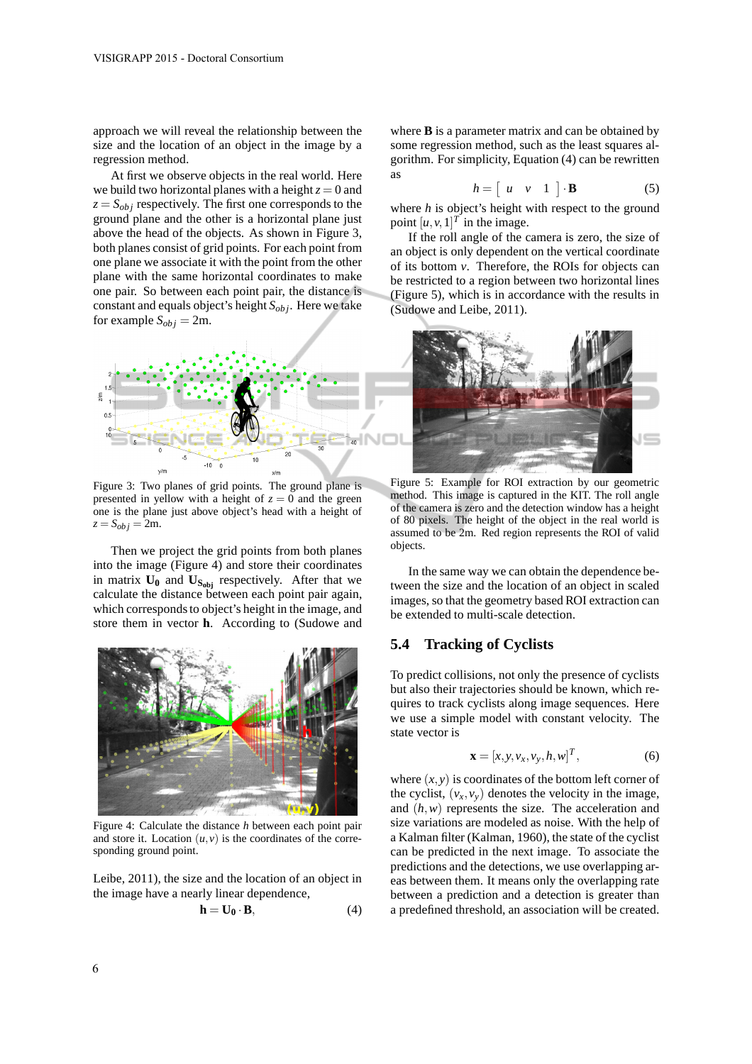approach we will reveal the relationship between the size and the location of an object in the image by a regression method.

At first we observe objects in the real world. Here we build two horizontal planes with a height  $z = 0$  and  $z = S_{obj}$  respectively. The first one corresponds to the ground plane and the other is a horizontal plane just above the head of the objects. As shown in Figure 3, both planes consist of grid points. For each point from one plane we associate it with the point from the other plane with the same horizontal coordinates to make one pair. So between each point pair, the distance is constant and equals object's height *Sob j*. Here we take for example  $S_{obj} = 2m$ .



Figure 3: Two planes of grid points. The ground plane is presented in yellow with a height of  $z = 0$  and the green one is the plane just above object's head with a height of  $z = S_{\text{obj}} = 2m$ .

Then we project the grid points from both planes into the image (Figure 4) and store their coordinates in matrix  $\mathbf{U}_0$  and  $\mathbf{U}_{\mathbf{S}_{\text{obj}}}$  respectively. After that we calculate the distance between each point pair again, which corresponds to object's height in the image, and store them in vector **h**. According to (Sudowe and



Figure 4: Calculate the distance *h* between each point pair and store it. Location  $(u, v)$  is the coordinates of the corresponding ground point.

Leibe, 2011), the size and the location of an object in the image have a nearly linear dependence,

$$
\mathbf{h} = \mathbf{U}_0 \cdot \mathbf{B},\tag{4}
$$

where **B** is a parameter matrix and can be obtained by some regression method, such as the least squares algorithm. For simplicity, Equation (4) can be rewritten as

$$
h = \left[ \begin{array}{ccc} u & v & 1 \end{array} \right] \cdot \mathbf{B} \tag{5}
$$

where *h* is object's height with respect to the ground point  $[u, v, 1]^T$  in the image.

If the roll angle of the camera is zero, the size of an object is only dependent on the vertical coordinate of its bottom *v*. Therefore, the ROIs for objects can be restricted to a region between two horizontal lines (Figure 5), which is in accordance with the results in (Sudowe and Leibe, 2011).



Figure 5: Example for ROI extraction by our geometric method. This image is captured in the KIT. The roll angle of the camera is zero and the detection window has a height of 80 pixels. The height of the object in the real world is assumed to be 2m. Red region represents the ROI of valid objects.

In the same way we can obtain the dependence between the size and the location of an object in scaled images, so that the geometry based ROI extraction can be extended to multi-scale detection.

#### **5.4 Tracking of Cyclists**

To predict collisions, not only the presence of cyclists but also their trajectories should be known, which requires to track cyclists along image sequences. Here we use a simple model with constant velocity. The state vector is

$$
\mathbf{x} = [x, y, v_x, v_y, h, w]^T, \tag{6}
$$

where  $(x, y)$  is coordinates of the bottom left corner of the cyclist,  $(v_x, v_y)$  denotes the velocity in the image, and (*h*,*w*) represents the size. The acceleration and size variations are modeled as noise. With the help of a Kalman filter (Kalman, 1960), the state of the cyclist can be predicted in the next image. To associate the predictions and the detections, we use overlapping areas between them. It means only the overlapping rate between a prediction and a detection is greater than a predefined threshold, an association will be created.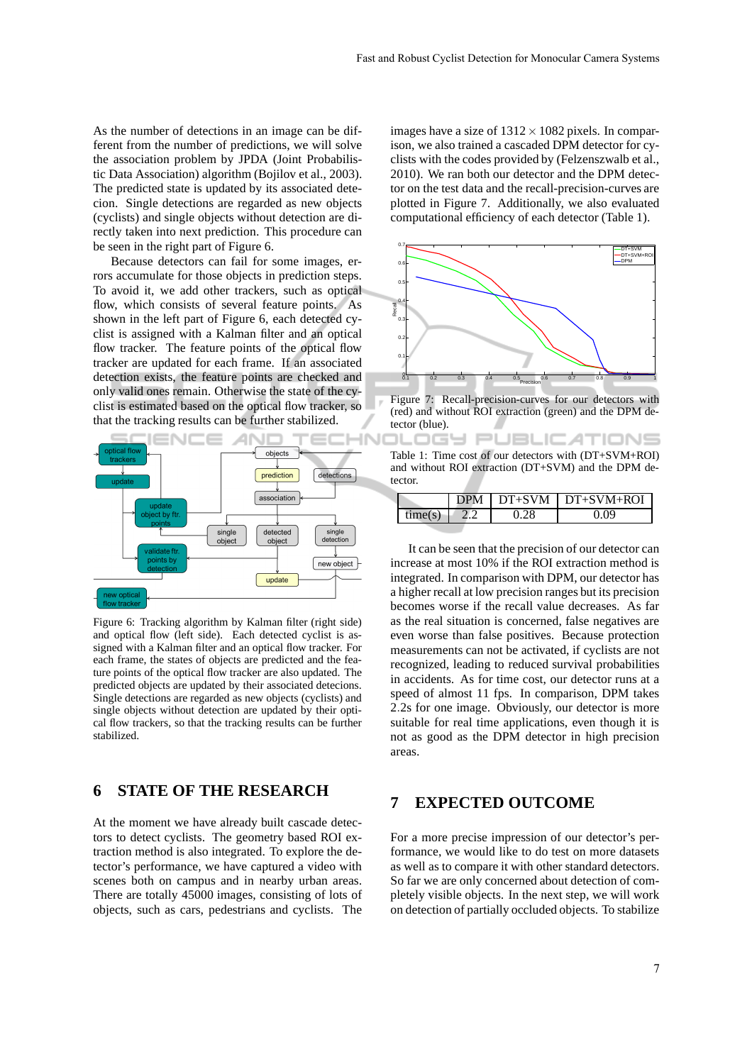As the number of detections in an image can be different from the number of predictions, we will solve the association problem by JPDA (Joint Probabilistic Data Association) algorithm (Bojilov et al., 2003). The predicted state is updated by its associated detecion. Single detections are regarded as new objects (cyclists) and single objects without detection are directly taken into next prediction. This procedure can be seen in the right part of Figure 6.

Because detectors can fail for some images, errors accumulate for those objects in prediction steps. To avoid it, we add other trackers, such as optical flow, which consists of several feature points. As shown in the left part of Figure 6, each detected cyclist is assigned with a Kalman filter and an optical flow tracker. The feature points of the optical flow tracker are updated for each frame. If an associated detection exists, the feature points are checked and only valid ones remain. Otherwise the state of the cyclist is estimated based on the optical flow tracker, so that the tracking results can be further stabilized.



Figure 6: Tracking algorithm by Kalman filter (right side) and optical flow (left side). Each detected cyclist is assigned with a Kalman filter and an optical flow tracker. For each frame, the states of objects are predicted and the feature points of the optical flow tracker are also updated. The predicted objects are updated by their associated detecions. Single detections are regarded as new objects (cyclists) and single objects without detection are updated by their optical flow trackers, so that the tracking results can be further stabilized.

# **6 STATE OF THE RESEARCH**

At the moment we have already built cascade detectors to detect cyclists. The geometry based ROI extraction method is also integrated. To explore the detector's performance, we have captured a video with scenes both on campus and in nearby urban areas. There are totally 45000 images, consisting of lots of objects, such as cars, pedestrians and cyclists. The

images have a size of  $1312 \times 1082$  pixels. In comparison, we also trained a cascaded DPM detector for cyclists with the codes provided by (Felzenszwalb et al., 2010). We ran both our detector and the DPM detector on the test data and the recall-precision-curves are plotted in Figure 7. Additionally, we also evaluated computational efficiency of each detector (Table 1).



Figure 7: Recall-precision-curves for our detectors with (red) and without ROI extraction (green) and the DPM detector (blue).

エロー

|         | Table 1: Time cost of our detectors with (DT+SVM+ROI) |
|---------|-------------------------------------------------------|
|         | and without ROI extraction (DT+SVM) and the DPM de-   |
| tector. |                                                       |

PUBLIC ATIONS

|              | DPM | $DT+SVM + DT+SVM+ROI$ |
|--------------|-----|-----------------------|
| $t$ me $(s)$ |     |                       |

It can be seen that the precision of our detector can increase at most 10% if the ROI extraction method is integrated. In comparison with DPM, our detector has a higher recall at low precision ranges but its precision becomes worse if the recall value decreases. As far as the real situation is concerned, false negatives are even worse than false positives. Because protection measurements can not be activated, if cyclists are not recognized, leading to reduced survival probabilities in accidents. As for time cost, our detector runs at a speed of almost 11 fps. In comparison, DPM takes 2.2s for one image. Obviously, our detector is more suitable for real time applications, even though it is not as good as the DPM detector in high precision areas.

### **7 EXPECTED OUTCOME**

For a more precise impression of our detector's performance, we would like to do test on more datasets as well as to compare it with other standard detectors. So far we are only concerned about detection of completely visible objects. In the next step, we will work on detection of partially occluded objects. To stabilize